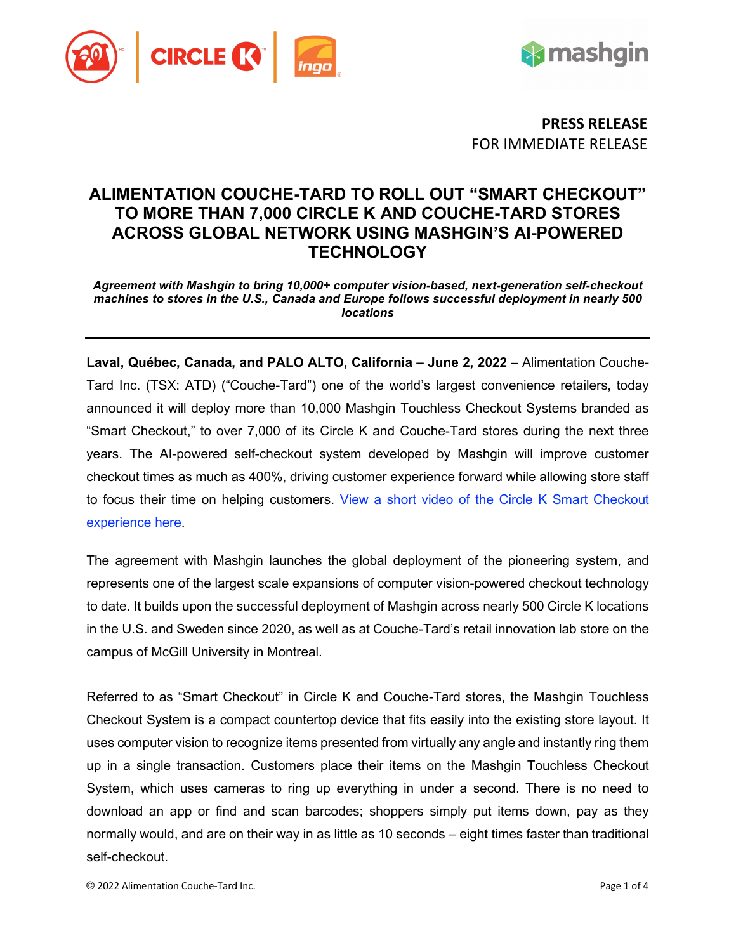



**PRESS RELEASE** FOR IMMEDIATE RELEASE

# **ALIMENTATION COUCHE-TARD TO ROLL OUT "SMART CHECKOUT" TO MORE THAN 7,000 CIRCLE K AND COUCHE-TARD STORES ACROSS GLOBAL NETWORK USING MASHGIN'S AI-POWERED TECHNOLOGY**

*Agreement with Mashgin to bring 10,000+ computer vision-based, next-generation self-checkout machines to stores in the U.S., Canada and Europe follows successful deployment in nearly 500 locations*

**Laval, Québec, Canada, and PALO ALTO, California – June 2, 2022** – Alimentation Couche-Tard Inc. (TSX: ATD) ("Couche-Tard") one of the world's largest convenience retailers, today announced it will deploy more than 10,000 Mashgin Touchless Checkout Systems branded as "Smart Checkout," to over 7,000 of its Circle K and Couche-Tard stores during the next three years. The AI-powered self-checkout system developed by Mashgin will improve customer checkout times as much as 400%, driving customer experience forward while allowing store staff to focus their time on helping customers. [View a short video of the Circle K Smart Checkout](https://www.youtube.com/watch?v=-c1kbWAttus)  [experience here.](https://www.youtube.com/watch?v=-c1kbWAttus)

The agreement with Mashgin launches the global deployment of the pioneering system, and represents one of the largest scale expansions of computer vision-powered checkout technology to date. It builds upon the successful deployment of Mashgin across nearly 500 Circle K locations in the U.S. and Sweden since 2020, as well as at Couche-Tard's retail innovation lab store on the campus of McGill University in Montreal.

Referred to as "Smart Checkout" in Circle K and Couche-Tard stores, the Mashgin Touchless Checkout System is a compact countertop device that fits easily into the existing store layout. It uses computer vision to recognize items presented from virtually any angle and instantly ring them up in a single transaction. Customers place their items on the Mashgin Touchless Checkout System, which uses cameras to ring up everything in under a second. There is no need to download an app or find and scan barcodes; shoppers simply put items down, pay as they normally would, and are on their way in as little as 10 seconds – eight times faster than traditional self-checkout.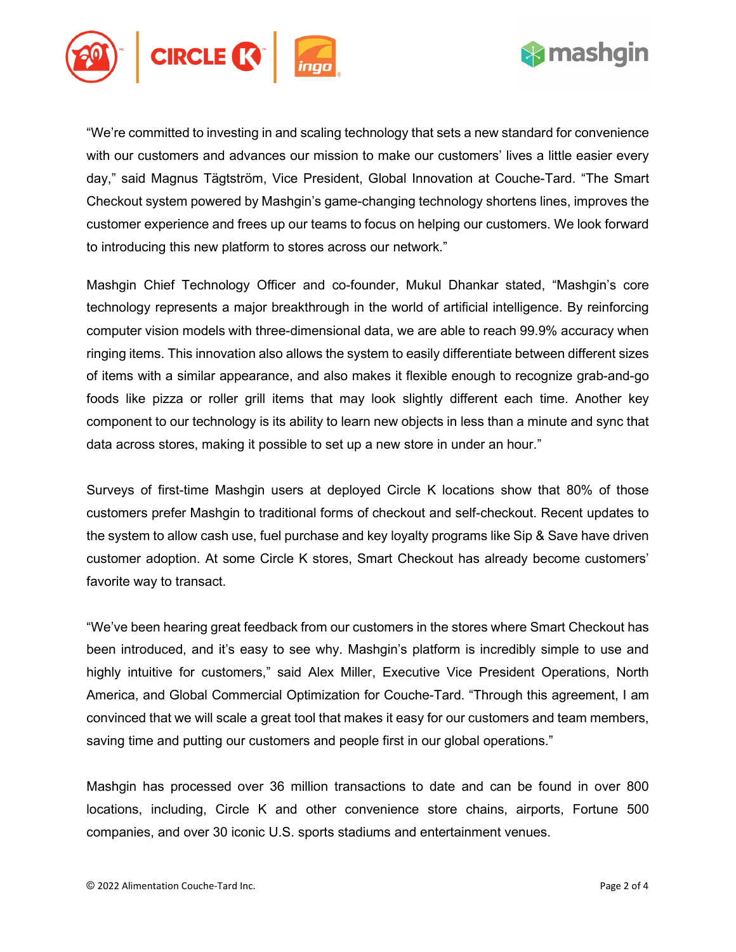



"We're committed to investing in and scaling technology that sets a new standard for convenience with our customers and advances our mission to make our customers' lives a little easier every day," said Magnus Tägtström, Vice President, Global Innovation at Couche-Tard. "The Smart Checkout system powered by Mashgin's game-changing technology shortens lines, improves the customer experience and frees up our teams to focus on helping our customers. We look forward to introducing this new platform to stores across our network."

Mashgin Chief Technology Officer and co-founder, Mukul Dhankar stated, "Mashgin's core technology represents a major breakthrough in the world of artificial intelligence. By reinforcing computer vision models with three-dimensional data, we are able to reach 99.9% accuracy when ringing items. This innovation also allows the system to easily differentiate between different sizes of items with a similar appearance, and also makes it flexible enough to recognize grab-and-go foods like pizza or roller grill items that may look slightly different each time. Another key component to our technology is its ability to learn new objects in less than a minute and sync that data across stores, making it possible to set up a new store in under an hour."

Surveys of first-time Mashgin users at deployed Circle K locations show that 80% of those customers prefer Mashgin to traditional forms of checkout and self-checkout. Recent updates to the system to allow cash use, fuel purchase and key loyalty programs like Sip & Save have driven customer adoption. At some Circle K stores, Smart Checkout has already become customers' favorite way to transact.

"We've been hearing great feedback from our customers in the stores where Smart Checkout has been introduced, and it's easy to see why. Mashgin's platform is incredibly simple to use and highly intuitive for customers," said Alex Miller, Executive Vice President Operations, North America, and Global Commercial Optimization for Couche-Tard. "Through this agreement, I am convinced that we will scale a great tool that makes it easy for our customers and team members, saving time and putting our customers and people first in our global operations."

Mashgin has processed over 36 million transactions to date and can be found in over 800 locations, including, Circle K and other convenience store chains, airports, Fortune 500 companies, and over 30 iconic U.S. sports stadiums and entertainment venues.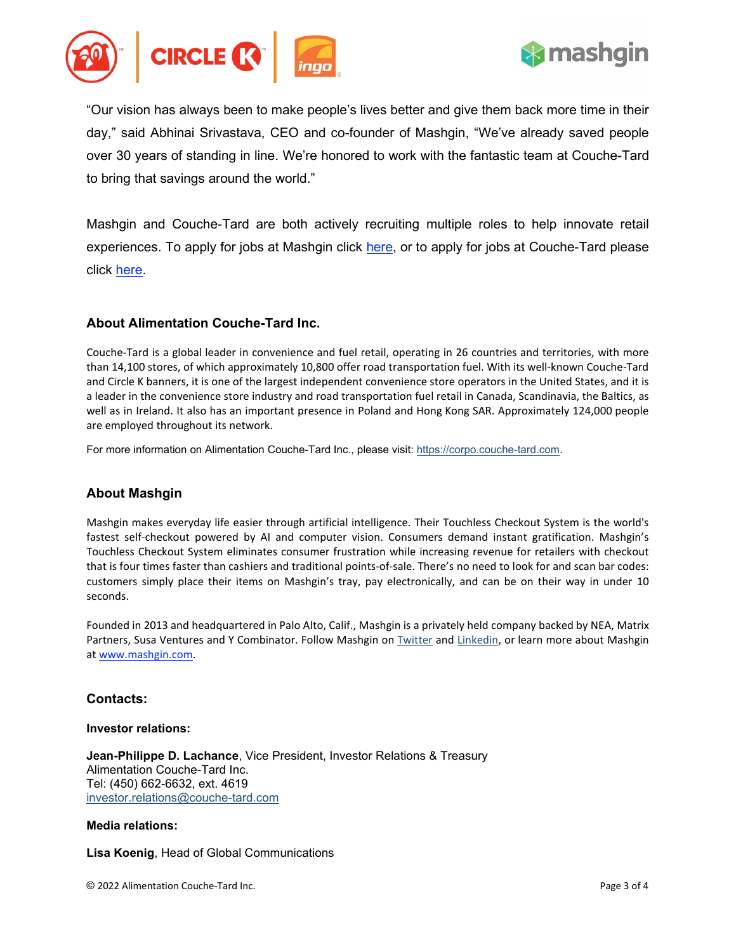



"Our vision has always been to make people's lives better and give them back more time in their day," said Abhinai Srivastava, CEO and co-founder of Mashgin, "We've already saved people over 30 years of standing in line. We're honored to work with the fantastic team at Couche-Tard to bring that savings around the world."

Mashgin and Couche-Tard are both actively recruiting multiple roles to help innovate retail experiences. To apply for jobs at Mashgin click [here,](https://jobs.lever.co/mashgin) or to apply for jobs at Couche-Tard please click [here.](https://workwithus.circlek.com/global/en)

# **About Alimentation Couche-Tard Inc.**

Couche-Tard is a global leader in convenience and fuel retail, operating in 26 countries and territories, with more than 14,100 stores, of which approximately 10,800 offer road transportation fuel. With its well-known Couche-Tard and Circle K banners, it is one of the largest independent convenience store operators in the United States, and it is a leader in the convenience store industry and road transportation fuel retail in Canada, Scandinavia, the Baltics, as well as in Ireland. It also has an important presence in Poland and Hong Kong SAR. Approximately 124,000 people are employed throughout its network.

For more information on Alimentation Couche-Tard Inc., please visit[: https://corpo.couche-tard.com.](https://corpo.couche-tard.com/)

# **About Mashgin**

Mashgin makes everyday life easier through artificial intelligence. Their Touchless Checkout System is the world's fastest self-checkout powered by AI and computer vision. Consumers demand instant gratification. Mashgin's Touchless Checkout System eliminates consumer frustration while increasing revenue for retailers with checkout that is four times faster than cashiers and traditional points-of-sale. There's no need to look for and scan bar codes: customers simply place their items on Mashgin's tray, pay electronically, and can be on their way in under 10 seconds.

Founded in 2013 and headquartered in Palo Alto, Calif., Mashgin is a privately held company backed by NEA, Matrix Partners, Susa Ventures and Y Combinator. Follow Mashgin on [Twitter](https://twitter.com/mashgin) and [Linkedin,](https://www.linkedin.com/company/mashgin/?original_referer=) or learn more about Mashgin a[t www.mashgin.com.](http://www.mashgin.com/) 

# **Contacts:**

#### **Investor relations:**

**Jean-Philippe D. Lachance**, Vice President, Investor Relations & Treasury Alimentation Couche-Tard Inc. Tel: (450) 662-6632, ext. 4619 [investor.relations@couche-tard.com](mailto:investor.relations@couche-tard.com) 

#### **Media relations:**

**Lisa Koenig**, Head of Global Communications